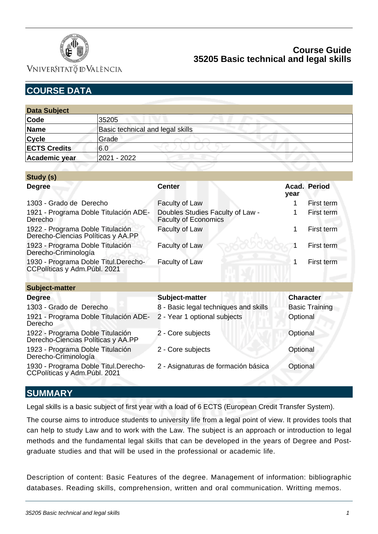

VNIVERSITATÖ ID VALÈNCIA

# **COURSE DATA**

| <b>Data Subject</b> |                                  |
|---------------------|----------------------------------|
| Code                | 35205                            |
| Name                | Basic technical and legal skills |
| <b>Cycle</b>        | Grade                            |
| <b>ECTS Credits</b> | 6.0                              |
| Academic year       | 2021 - 2022                      |

| Study (s)                                                              |                                                                 |                  |                       |
|------------------------------------------------------------------------|-----------------------------------------------------------------|------------------|-----------------------|
| <b>Degree</b>                                                          | <b>Center</b>                                                   |                  | Acad. Period          |
| 1303 - Grado de Derecho                                                | Faculty of Law                                                  |                  | First term            |
| 1921 - Programa Doble Titulación ADE-<br>Derecho                       | Doubles Studies Faculty of Law -<br><b>Faculty of Economics</b> |                  | First term            |
| 1922 - Programa Doble Titulación<br>Derecho-Ciencias Políticas y AA.PP | Faculty of Law                                                  | 1                | First term            |
| 1923 - Programa Doble Titulación<br>Derecho-Criminología               | Faculty of Law                                                  |                  | First term            |
| 1930 - Programa Doble Titul.Derecho-<br>CCPolíticas y Adm. Públ. 2021  | Faculty of Law                                                  | 1                | First term            |
| <b>Subject-matter</b>                                                  |                                                                 |                  |                       |
| <b>Degree</b>                                                          | Subject-matter                                                  | <b>Character</b> |                       |
| 1303 - Grado de Derecho                                                | 8 - Basic legal techniques and skills                           |                  | <b>Basic Training</b> |
| 1921 - Programa Doble Titulación ADE-<br>Derecho                       | 2 - Year 1 optional subjects                                    | Optional         |                       |
| 1922 - Programa Doble Titulación<br>Derecho-Ciencias Políticas y AA.PP | 2 - Core subjects                                               | Optional         |                       |
| 1923 - Programa Doble Titulación<br>Derecho-Criminología               | 2 - Core subjects                                               | Optional         |                       |
| 1930 - Programa Doble Titul.Derecho-<br>CCPolíticas y Adm. Públ. 2021  | 2 - Asignaturas de formación básica                             | Optional         |                       |

## **SUMMARY**

Legal skills is a basic subject of first year with a load of 6 ECTS (European Credit Transfer System).

The course aims to introduce students to university life from a legal point of view. It provides tools that can help to study Law and to work with the Law. The subject is an approach or introduction to legal methods and the fundamental legal skills that can be developed in the years of Degree and Postgraduate studies and that will be used in the professional or academic life.

Description of content: Basic Features of the degree. Management of information: bibliographic databases. Reading skills, comprehension, written and oral communication. Writting memos.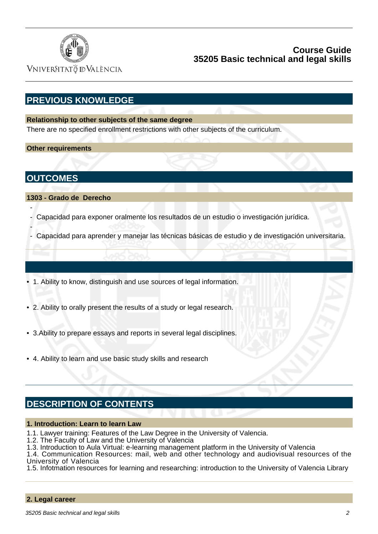

VNIVERSITATÖ IDVALÈNCIA

# **PREVIOUS KNOWLEDGE**

#### **Relationship to other subjects of the same degree**

There are no specified enrollment restrictions with other subjects of the curriculum.

#### **Other requirements**

**OUTCOMES**

-

-

**1303 - Grado de Derecho**

- Capacidad para exponer oralmente los resultados de un estudio o investigación jurídica.
- Capacidad para aprender y manejar las técnicas básicas de estudio y de investigación universitaria.
- 1. Ability to know, distinguish and use sources of legal information.
- 2. Ability to orally present the results of a study or legal research.
- 3.Ability to prepare essays and reports in several legal disciplines.
- 4. Ability to learn and use basic study skills and research

## **DESCRIPTION OF CONTENTS**

#### **1. Introduction: Learn to learn Law**

- 1.1. Lawyer training: Features of the Law Degree in the University of Valencia.
- 1.2. The Faculty of Law and the University of Valencia
- 1.3. Introduction to Aula Virtual: e-learning management platform in the University of Valencia
- 1.4. Communication Resources: mail, web and other technology and audiovisual resources of the University of Valencia
- 1.5. Infotmation resources for learning and researching: introduction to the University of Valencia Library

#### **2. Legal career**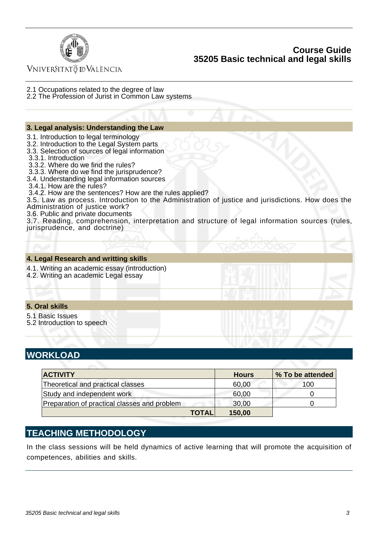

VNIVERSITATÖ ID VALÈNCIA

- 2.1 Occupations related to the degree of law
- 2.2 The Profession of Jurist in Common Law systems

#### **3. Legal analysis: Understanding the Law**

- 3.1. Introduction to legal terminology
- 3.2. Introduction to the Legal System parts
- 3.3. Selection of sources of legal information
- 3.3.1. Introduction
- 3.3.2. Where do we find the rules?
- 3.3.3. Where do we find the jurisprudence?
- 3.4. Understanding legal information sources
- 3.4.1. How are the rules?
- 3.4.2. How are the sentences? How are the rules applied?

3.5. Law as process. Introduction to the Administration of justice and jurisdictions. How does the Administration of justice work?

3.6. Public and private documents

3.7. Reading, comprehension, interpretation and structure of legal information sources (rules, jurisprudence, and doctrine)

#### **4. Legal Research and writting skills**

- 4.1. Writing an academic essay (introduction)
- 4.2. Writing an academic Legal essay

#### **5. Oral skills**

- 5.1 Basic Issues
- 5.2 Introduction to speech

## **WORKLOAD**

| <b>ACTIVITY</b>                              |              | <b>Hours</b> | % To be attended |
|----------------------------------------------|--------------|--------------|------------------|
| Theoretical and practical classes            |              | 60,00        | 100              |
| Study and independent work                   |              | 60,00        |                  |
| Preparation of practical classes and problem |              | 30,00        |                  |
|                                              | <b>TOTAL</b> | 150,00       |                  |

# **TEACHING METHODOLOGY**

In the class sessions will be held dynamics of active learning that will promote the acquisition of competences, abilities and skills.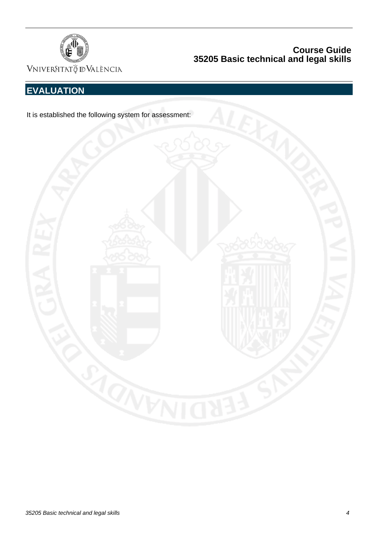

VNIVERSITAT Ö ID VALÈNCIA

# **EVALUATION**

It is established the following system for assessment:

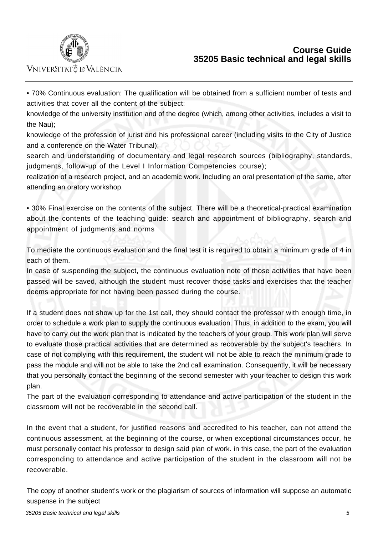

VNIVERSITATÖ ID VALÈNCIA

• 70% Continuous evaluation: The qualification will be obtained from a sufficient number of tests and activities that cover all the content of the subject:

knowledge of the university institution and of the degree (which, among other activities, includes a visit to the Nau);

knowledge of the profession of jurist and his professional career (including visits to the City of Justice and a conference on the Water Tribunal);

search and understanding of documentary and legal research sources (bibliography, standards, judgments, follow-up of the Level I Information Competencies course);

realization of a research project, and an academic work. Including an oral presentation of the same, after attending an oratory workshop.

• 30% Final exercise on the contents of the subject. There will be a theoretical-practical examination about the contents of the teaching guide: search and appointment of bibliography, search and appointment of judgments and norms

To mediate the continuous evaluation and the final test it is required to obtain a minimum grade of 4 in each of them.

In case of suspending the subject, the continuous evaluation note of those activities that have been passed will be saved, although the student must recover those tasks and exercises that the teacher deems appropriate for not having been passed during the course.

If a student does not show up for the 1st call, they should contact the professor with enough time, in order to schedule a work plan to supply the continuous evaluation. Thus, in addition to the exam, you will have to carry out the work plan that is indicated by the teachers of your group. This work plan will serve to evaluate those practical activities that are determined as recoverable by the subject's teachers. In case of not complying with this requirement, the student will not be able to reach the minimum grade to pass the module and will not be able to take the 2nd call examination. Consequently, it will be necessary that you personally contact the beginning of the second semester with your teacher to design this work plan.

The part of the evaluation corresponding to attendance and active participation of the student in the classroom will not be recoverable in the second call.

In the event that a student, for justified reasons and accredited to his teacher, can not attend the continuous assessment, at the beginning of the course, or when exceptional circumstances occur, he must personally contact his professor to design said plan of work. in this case, the part of the evaluation corresponding to attendance and active participation of the student in the classroom will not be recoverable.

The copy of another student's work or the plagiarism of sources of information will suppose an automatic suspense in the subject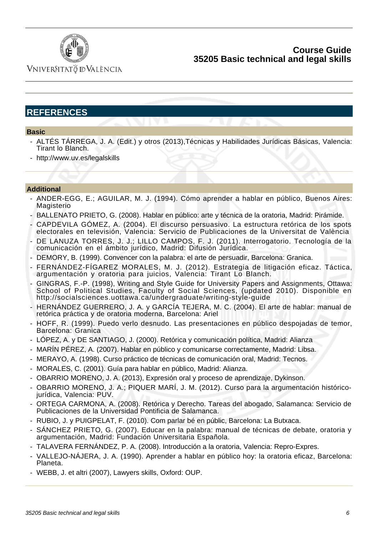

VNIVERSITATÖ IDVALÈNCIA

# **REFERENCES**

#### **Basic**

- ALTÉS TÁRREGA, J. A. (Edit.) y otros (2013),Técnicas y Habilidades Jurídicas Básicas, Valencia: Tirant lo Blanch.
- http://www.uv.es/legalskills

#### **Additional**

- ANDER-EGG, E.; AGUILAR, M. J. (1994). Cómo aprender a hablar en público, Buenos Aires: Magisterio
- BALLENATO PRIETO, G. (2008). Hablar en público: arte y técnica de la oratoria, Madrid: Pirámide.
- CAPDEVILA GÓMEZ, A. (2004). El discurso persuasivo. La estructura retórica de los spots electorales en televisión, Valencia: Servicio de Publicaciones de la Universitat de València
- DE LANUZA TORRES, J. J.; LILLO CAMPOS, F. J. (2011). Interrogatorio. Tecnología de la comunicación en el ámbito jurídico, Madrid: Difusión Jurídica.
- DEMORY, B. (1999). Convencer con la palabra: el arte de persuadir, Barcelona: Granica.
- FERNÁNDEZ-FÍGAREZ MORALES, M. J. (2012). Estrategia de litigación eficaz. Táctica, argumentación y oratoria para juicios, Valencia: Tirant Lo Blanch.
- GINGRAS, F.-P. (1998), Writing and Style Guide for University Papers and Assignments, Ottawa: School of Political Studies, Faculty of Social Sciences, (updated 2010). Disponible en http://socialsciences.uottawa.ca/undergraduate/writing-style-guide
- HERNÁNDEZ GUERRERO, J. A. y GARCÍA TEJERA, M. C. (2004). El arte de hablar: manual de retórica práctica y de oratoria moderna, Barcelona: Ariel
- HOFF, R. (1999). Puedo verlo desnudo. Las presentaciones en público despojadas de temor, Barcelona: Granica
- LÓPEZ, A. y DE SANTIAGO, J. (2000). Retórica y comunicación política, Madrid: Alianza
- MARÍN PÉREZ, A. (2007). Hablar en público y comunicarse correctamente, Madrid: Libsa.
- MERAYO, A. (1998). Curso práctico de técnicas de comunicación oral, Madrid: Tecnos.
- MORALES, C. (2001). Guía para hablar en público, Madrid: Alianza.
- OBARRIO MORENO, J. A. (2013), Expresión oral y proceso de aprendizaje, Dykinson.
- OBARRIO MORENO, J. A.; PIQUER MARÍ, J. M. (2012). Curso para la argumentación históricojurídica, Valencia: PUV.
- ORTEGA CARMONA, A. (2008). Retórica y Derecho. Tareas del abogado, Salamanca: Servicio de Publicaciones de la Universidad Pontificia de Salamanca.
- RUBIO, J. y PUIGPELAT, F. (2010). Com parlar bé en públic, Barcelona: La Butxaca.
- SÁNCHEZ PRIETO, G. (2007). Educar en la palabra: manual de técnicas de debate, oratoria y argumentación, Madrid: Fundación Universitaria Española.
- TALAVERA FERNÁNDEZ, P. A. (2008). Introducción a la oratoria, Valencia: Repro-Expres.
- VALLEJO-NÁJERA, J. A. (1990). Aprender a hablar en público hoy: la oratoria eficaz, Barcelona: Planeta.
- WEBB, J. et altri (2007), Lawyers skills, Oxford: OUP.